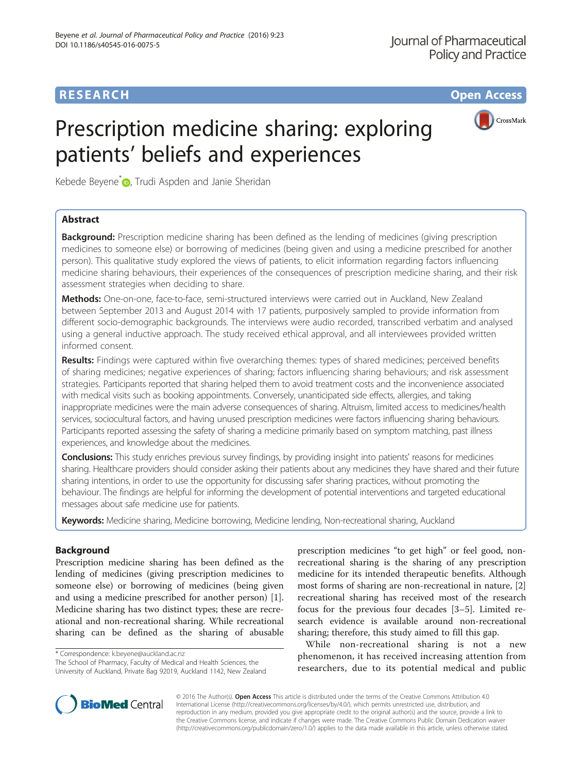# **RESEARCH CHE Open Access**



# Prescription medicine sharing: exploring patients' beliefs and experiences

Kebede Beyene<sup>\*</sup> <sub>D</sub>[,](http://orcid.org/0000-0002-1057-2593) Trudi Aspden and Janie Sheridan

## Abstract

**Background:** Prescription medicine sharing has been defined as the lending of medicines (giving prescription medicines to someone else) or borrowing of medicines (being given and using a medicine prescribed for another person). This qualitative study explored the views of patients, to elicit information regarding factors influencing medicine sharing behaviours, their experiences of the consequences of prescription medicine sharing, and their risk assessment strategies when deciding to share.

Methods: One-on-one, face-to-face, semi-structured interviews were carried out in Auckland, New Zealand between September 2013 and August 2014 with 17 patients, purposively sampled to provide information from different socio-demographic backgrounds. The interviews were audio recorded, transcribed verbatim and analysed using a general inductive approach. The study received ethical approval, and all interviewees provided written informed consent.

Results: Findings were captured within five overarching themes: types of shared medicines; perceived benefits of sharing medicines; negative experiences of sharing; factors influencing sharing behaviours; and risk assessment strategies. Participants reported that sharing helped them to avoid treatment costs and the inconvenience associated with medical visits such as booking appointments. Conversely, unanticipated side effects, allergies, and taking inappropriate medicines were the main adverse consequences of sharing. Altruism, limited access to medicines/health services, sociocultural factors, and having unused prescription medicines were factors influencing sharing behaviours. Participants reported assessing the safety of sharing a medicine primarily based on symptom matching, past illness experiences, and knowledge about the medicines.

**Conclusions:** This study enriches previous survey findings, by providing insight into patients' reasons for medicines sharing. Healthcare providers should consider asking their patients about any medicines they have shared and their future sharing intentions, in order to use the opportunity for discussing safer sharing practices, without promoting the behaviour. The findings are helpful for informing the development of potential interventions and targeted educational messages about safe medicine use for patients.

Keywords: Medicine sharing, Medicine borrowing, Medicine lending, Non-recreational sharing, Auckland

### Background

Prescription medicine sharing has been defined as the lending of medicines (giving prescription medicines to someone else) or borrowing of medicines (being given and using a medicine prescribed for another person) [\[1](#page-11-0)]. Medicine sharing has two distinct types; these are recreational and non-recreational sharing. While recreational sharing can be defined as the sharing of abusable

The School of Pharmacy, Faculty of Medical and Health Sciences, the University of Auckland, Private Bag 92019, Auckland 1142, New Zealand

prescription medicines "to get high" or feel good, nonrecreational sharing is the sharing of any prescription medicine for its intended therapeutic benefits. Although most forms of sharing are non-recreational in nature, [\[2](#page-11-0)] recreational sharing has received most of the research focus for the previous four decades [\[3](#page-11-0)–[5\]](#page-11-0). Limited research evidence is available around non-recreational sharing; therefore, this study aimed to fill this gap.

While non-recreational sharing is not a new phenomenon, it has received increasing attention from researchers, due to its potential medical and public



© 2016 The Author(s). Open Access This article is distributed under the terms of the Creative Commons Attribution 4.0 International License [\(http://creativecommons.org/licenses/by/4.0/](http://creativecommons.org/licenses/by/4.0/)), which permits unrestricted use, distribution, and reproduction in any medium, provided you give appropriate credit to the original author(s) and the source, provide a link to the Creative Commons license, and indicate if changes were made. The Creative Commons Public Domain Dedication waiver [\(http://creativecommons.org/publicdomain/zero/1.0/](http://creativecommons.org/publicdomain/zero/1.0/)) applies to the data made available in this article, unless otherwise stated.

<sup>\*</sup> Correspondence: [k.beyene@auckland.ac.nz](mailto:k.beyene@auckland.ac.nz)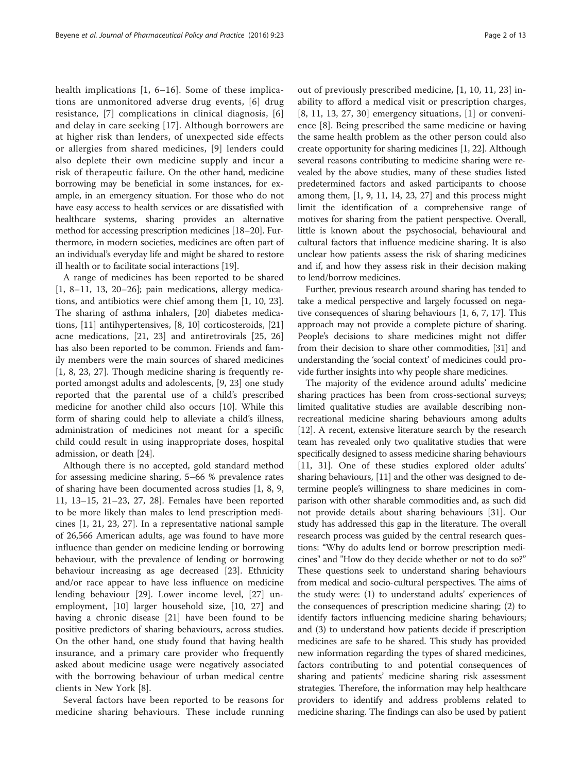health implications [[1, 6](#page-11-0)–[16\]](#page-11-0). Some of these implications are unmonitored adverse drug events, [[6](#page-11-0)] drug resistance, [[7\]](#page-11-0) complications in clinical diagnosis, [\[6](#page-11-0)] and delay in care seeking [[17](#page-11-0)]. Although borrowers are at higher risk than lenders, of unexpected side effects or allergies from shared medicines, [\[9](#page-11-0)] lenders could also deplete their own medicine supply and incur a risk of therapeutic failure. On the other hand, medicine borrowing may be beneficial in some instances, for example, in an emergency situation. For those who do not have easy access to health services or are dissatisfied with healthcare systems, sharing provides an alternative method for accessing prescription medicines [\[18](#page-11-0)–[20\]](#page-12-0). Furthermore, in modern societies, medicines are often part of an individual's everyday life and might be shared to restore ill health or to facilitate social interactions [[19](#page-12-0)].

A range of medicines has been reported to be shared [[1, 8](#page-11-0)–[11, 13,](#page-11-0) [20](#page-12-0)–[26\]](#page-12-0); pain medications, allergy medications, and antibiotics were chief among them [[1, 10](#page-11-0), [23](#page-12-0)]. The sharing of asthma inhalers, [\[20\]](#page-12-0) diabetes medications, [[11](#page-11-0)] antihypertensives, [[8, 10\]](#page-11-0) corticosteroids, [[21](#page-12-0)] acne medications, [\[21, 23\]](#page-12-0) and antiretrovirals [[25](#page-12-0), [26](#page-12-0)] has also been reported to be common. Friends and family members were the main sources of shared medicines [[1, 8](#page-11-0), [23, 27](#page-12-0)]. Though medicine sharing is frequently reported amongst adults and adolescents, [[9,](#page-11-0) [23\]](#page-12-0) one study reported that the parental use of a child's prescribed medicine for another child also occurs [[10](#page-11-0)]. While this form of sharing could help to alleviate a child's illness, administration of medicines not meant for a specific child could result in using inappropriate doses, hospital admission, or death [\[24\]](#page-12-0).

Although there is no accepted, gold standard method for assessing medicine sharing, 5–66 % prevalence rates of sharing have been documented across studies [[1, 8](#page-11-0), [9](#page-11-0), [11, 13](#page-11-0)–[15](#page-11-0), [21](#page-12-0)–[23](#page-12-0), [27, 28\]](#page-12-0). Females have been reported to be more likely than males to lend prescription medicines [[1,](#page-11-0) [21](#page-12-0), [23, 27\]](#page-12-0). In a representative national sample of 26,566 American adults, age was found to have more influence than gender on medicine lending or borrowing behaviour, with the prevalence of lending or borrowing behaviour increasing as age decreased [[23\]](#page-12-0). Ethnicity and/or race appear to have less influence on medicine lending behaviour [\[29](#page-12-0)]. Lower income level, [[27\]](#page-12-0) unemployment, [[10](#page-11-0)] larger household size, [[10](#page-11-0), [27\]](#page-12-0) and having a chronic disease [[21](#page-12-0)] have been found to be positive predictors of sharing behaviours, across studies. On the other hand, one study found that having health insurance, and a primary care provider who frequently asked about medicine usage were negatively associated with the borrowing behaviour of urban medical centre clients in New York [[8](#page-11-0)].

Several factors have been reported to be reasons for medicine sharing behaviours. These include running out of previously prescribed medicine, [\[1](#page-11-0), [10, 11,](#page-11-0) [23\]](#page-12-0) inability to afford a medical visit or prescription charges, [[8, 11](#page-11-0), [13](#page-11-0), [27](#page-12-0), [30](#page-12-0)] emergency situations, [[1\]](#page-11-0) or convenience [\[8](#page-11-0)]. Being prescribed the same medicine or having the same health problem as the other person could also create opportunity for sharing medicines [\[1,](#page-11-0) [22](#page-12-0)]. Although several reasons contributing to medicine sharing were revealed by the above studies, many of these studies listed predetermined factors and asked participants to choose among them, [[1](#page-11-0), [9, 11, 14,](#page-11-0) [23, 27\]](#page-12-0) and this process might limit the identification of a comprehensive range of motives for sharing from the patient perspective. Overall, little is known about the psychosocial, behavioural and cultural factors that influence medicine sharing. It is also unclear how patients assess the risk of sharing medicines and if, and how they assess risk in their decision making to lend/borrow medicines.

Further, previous research around sharing has tended to take a medical perspective and largely focussed on negative consequences of sharing behaviours [[1, 6, 7, 17\]](#page-11-0). This approach may not provide a complete picture of sharing. People's decisions to share medicines might not differ from their decision to share other commodities, [[31](#page-12-0)] and understanding the 'social context' of medicines could provide further insights into why people share medicines.

The majority of the evidence around adults' medicine sharing practices has been from cross-sectional surveys; limited qualitative studies are available describing nonrecreational medicine sharing behaviours among adults [[12](#page-11-0)]. A recent, extensive literature search by the research team has revealed only two qualitative studies that were specifically designed to assess medicine sharing behaviours [[11](#page-11-0), [31](#page-12-0)]. One of these studies explored older adults' sharing behaviours, [[11](#page-11-0)] and the other was designed to determine people's willingness to share medicines in comparison with other sharable commodities and, as such did not provide details about sharing behaviours [\[31\]](#page-12-0). Our study has addressed this gap in the literature. The overall research process was guided by the central research questions: "Why do adults lend or borrow prescription medicines" and "How do they decide whether or not to do so?" These questions seek to understand sharing behaviours from medical and socio-cultural perspectives. The aims of the study were: (1) to understand adults' experiences of the consequences of prescription medicine sharing; (2) to identify factors influencing medicine sharing behaviours; and (3) to understand how patients decide if prescription medicines are safe to be shared. This study has provided new information regarding the types of shared medicines, factors contributing to and potential consequences of sharing and patients' medicine sharing risk assessment strategies. Therefore, the information may help healthcare providers to identify and address problems related to medicine sharing. The findings can also be used by patient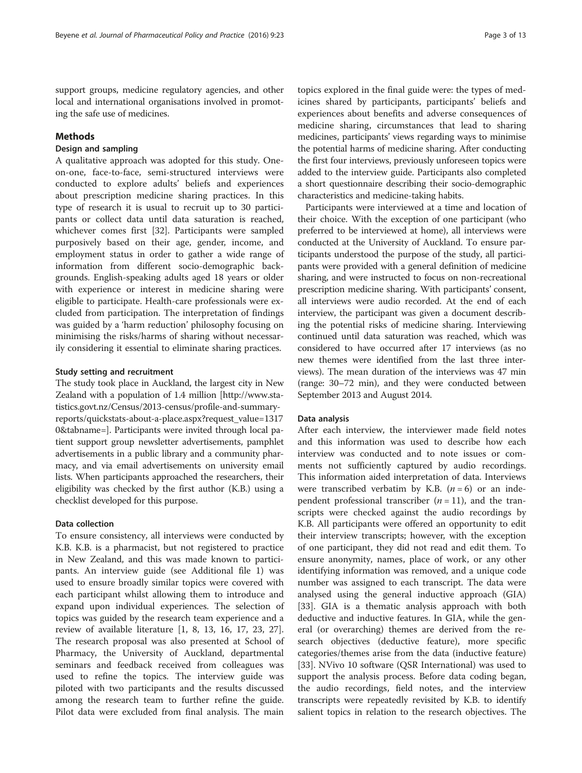support groups, medicine regulatory agencies, and other local and international organisations involved in promoting the safe use of medicines.

#### Methods

#### Design and sampling

A qualitative approach was adopted for this study. Oneon-one, face-to-face, semi-structured interviews were conducted to explore adults' beliefs and experiences about prescription medicine sharing practices. In this type of research it is usual to recruit up to 30 participants or collect data until data saturation is reached, whichever comes first [[32](#page-12-0)]. Participants were sampled purposively based on their age, gender, income, and employment status in order to gather a wide range of information from different socio-demographic backgrounds. English-speaking adults aged 18 years or older with experience or interest in medicine sharing were eligible to participate. Health-care professionals were excluded from participation. The interpretation of findings was guided by a 'harm reduction' philosophy focusing on minimising the risks/harms of sharing without necessarily considering it essential to eliminate sharing practices.

#### Study setting and recruitment

The study took place in Auckland, the largest city in New Zealand with a population of 1.4 million [\[http://www.sta](http://www.statistics.govt.nz/Census/2013-census/profile-and-summary-reports/quickstats-about-a-place.aspx?request_value=13170&tabname)[tistics.govt.nz/Census/2013-census/profile-and-summary](http://www.statistics.govt.nz/Census/2013-census/profile-and-summary-reports/quickstats-about-a-place.aspx?request_value=13170&tabname)[reports/quickstats-about-a-place.aspx?request\\_value=1317](http://www.statistics.govt.nz/Census/2013-census/profile-and-summary-reports/quickstats-about-a-place.aspx?request_value=13170&tabname) [0&tabname](http://www.statistics.govt.nz/Census/2013-census/profile-and-summary-reports/quickstats-about-a-place.aspx?request_value=13170&tabname)=]. Participants were invited through local patient support group newsletter advertisements, pamphlet advertisements in a public library and a community pharmacy, and via email advertisements on university email lists. When participants approached the researchers, their eligibility was checked by the first author (K.B.) using a checklist developed for this purpose.

#### Data collection

To ensure consistency, all interviews were conducted by K.B. K.B. is a pharmacist, but not registered to practice in New Zealand, and this was made known to participants. An interview guide (see Additional file [1\)](#page-11-0) was used to ensure broadly similar topics were covered with each participant whilst allowing them to introduce and expand upon individual experiences. The selection of topics was guided by the research team experience and a review of available literature [\[1](#page-11-0), [8, 13, 16](#page-11-0), [17,](#page-11-0) [23, 27](#page-12-0)]. The research proposal was also presented at School of Pharmacy, the University of Auckland, departmental seminars and feedback received from colleagues was used to refine the topics. The interview guide was piloted with two participants and the results discussed among the research team to further refine the guide. Pilot data were excluded from final analysis. The main

topics explored in the final guide were: the types of medicines shared by participants, participants' beliefs and experiences about benefits and adverse consequences of medicine sharing, circumstances that lead to sharing medicines, participants' views regarding ways to minimise the potential harms of medicine sharing. After conducting the first four interviews, previously unforeseen topics were added to the interview guide. Participants also completed a short questionnaire describing their socio-demographic characteristics and medicine-taking habits.

Participants were interviewed at a time and location of their choice. With the exception of one participant (who preferred to be interviewed at home), all interviews were conducted at the University of Auckland. To ensure participants understood the purpose of the study, all participants were provided with a general definition of medicine sharing, and were instructed to focus on non-recreational prescription medicine sharing. With participants' consent, all interviews were audio recorded. At the end of each interview, the participant was given a document describing the potential risks of medicine sharing. Interviewing continued until data saturation was reached, which was considered to have occurred after 17 interviews (as no new themes were identified from the last three interviews). The mean duration of the interviews was 47 min (range: 30–72 min), and they were conducted between September 2013 and August 2014.

#### Data analysis

After each interview, the interviewer made field notes and this information was used to describe how each interview was conducted and to note issues or comments not sufficiently captured by audio recordings. This information aided interpretation of data. Interviews were transcribed verbatim by K.B.  $(n = 6)$  or an independent professional transcriber  $(n = 11)$ , and the transcripts were checked against the audio recordings by K.B. All participants were offered an opportunity to edit their interview transcripts; however, with the exception of one participant, they did not read and edit them. To ensure anonymity, names, place of work, or any other identifying information was removed, and a unique code number was assigned to each transcript. The data were analysed using the general inductive approach (GIA) [[33\]](#page-12-0). GIA is a thematic analysis approach with both deductive and inductive features. In GIA, while the general (or overarching) themes are derived from the research objectives (deductive feature), more specific categories/themes arise from the data (inductive feature) [[33\]](#page-12-0). NVivo 10 software (QSR International) was used to support the analysis process. Before data coding began, the audio recordings, field notes, and the interview transcripts were repeatedly revisited by K.B. to identify salient topics in relation to the research objectives. The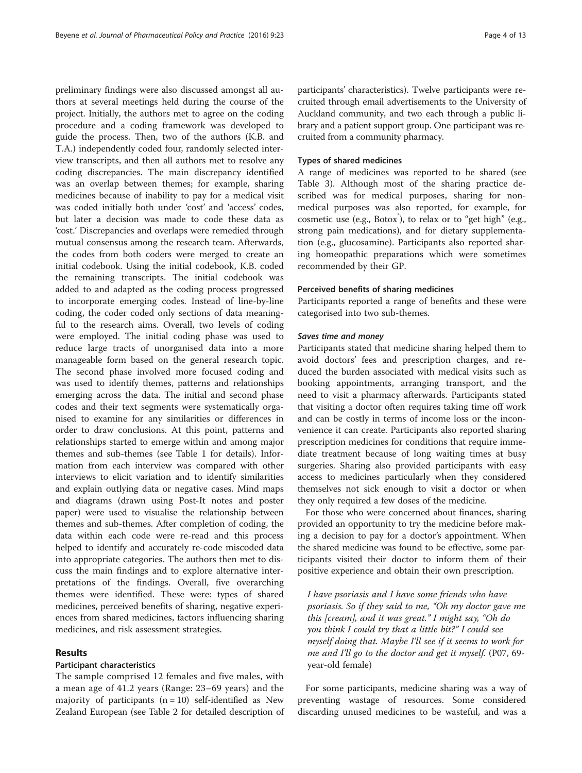preliminary findings were also discussed amongst all authors at several meetings held during the course of the project. Initially, the authors met to agree on the coding procedure and a coding framework was developed to guide the process. Then, two of the authors (K.B. and T.A.) independently coded four, randomly selected interview transcripts, and then all authors met to resolve any coding discrepancies. The main discrepancy identified was an overlap between themes; for example, sharing medicines because of inability to pay for a medical visit was coded initially both under 'cost' and 'access' codes, but later a decision was made to code these data as 'cost.' Discrepancies and overlaps were remedied through mutual consensus among the research team. Afterwards, the codes from both coders were merged to create an initial codebook. Using the initial codebook, K.B. coded the remaining transcripts. The initial codebook was added to and adapted as the coding process progressed to incorporate emerging codes. Instead of line-by-line coding, the coder coded only sections of data meaningful to the research aims. Overall, two levels of coding were employed. The initial coding phase was used to reduce large tracts of unorganised data into a more manageable form based on the general research topic. The second phase involved more focused coding and was used to identify themes, patterns and relationships emerging across the data. The initial and second phase codes and their text segments were systematically organised to examine for any similarities or differences in order to draw conclusions. At this point, patterns and relationships started to emerge within and among major themes and sub-themes (see Table [1](#page-4-0) for details). Information from each interview was compared with other interviews to elicit variation and to identify similarities and explain outlying data or negative cases. Mind maps and diagrams (drawn using Post-It notes and poster paper) were used to visualise the relationship between themes and sub-themes. After completion of coding, the data within each code were re-read and this process helped to identify and accurately re-code miscoded data into appropriate categories. The authors then met to discuss the main findings and to explore alternative interpretations of the findings. Overall, five overarching themes were identified. These were: types of shared medicines, perceived benefits of sharing, negative experiences from shared medicines, factors influencing sharing medicines, and risk assessment strategies.

#### Results

#### Participant characteristics

The sample comprised 12 females and five males, with a mean age of 41.2 years (Range: 23–69 years) and the majority of participants  $(n = 10)$  self-identified as New Zealand European (see Table [2](#page-6-0) for detailed description of

participants' characteristics). Twelve participants were recruited through email advertisements to the University of Auckland community, and two each through a public library and a patient support group. One participant was recruited from a community pharmacy.

#### Types of shared medicines

A range of medicines was reported to be shared (see Table [3\)](#page-6-0). Although most of the sharing practice described was for medical purposes, sharing for nonmedical purposes was also reported, for example, for cosmetic use (e.g., Botox<sup>®</sup>), to relax or to "get high" (e.g., strong pain medications), and for dietary supplementation (e.g., glucosamine). Participants also reported sharing homeopathic preparations which were sometimes recommended by their GP.

#### Perceived benefits of sharing medicines

Participants reported a range of benefits and these were categorised into two sub-themes.

#### Saves time and money

Participants stated that medicine sharing helped them to avoid doctors' fees and prescription charges, and reduced the burden associated with medical visits such as booking appointments, arranging transport, and the need to visit a pharmacy afterwards. Participants stated that visiting a doctor often requires taking time off work and can be costly in terms of income loss or the inconvenience it can create. Participants also reported sharing prescription medicines for conditions that require immediate treatment because of long waiting times at busy surgeries. Sharing also provided participants with easy access to medicines particularly when they considered themselves not sick enough to visit a doctor or when they only required a few doses of the medicine.

For those who were concerned about finances, sharing provided an opportunity to try the medicine before making a decision to pay for a doctor's appointment. When the shared medicine was found to be effective, some participants visited their doctor to inform them of their positive experience and obtain their own prescription.

I have psoriasis and I have some friends who have psoriasis. So if they said to me, "Oh my doctor gave me this [cream], and it was great." I might say, "Oh do you think I could try that a little bit?" I could see myself doing that. Maybe I'll see if it seems to work for me and I'll go to the doctor and get it myself. (P07, 69 year-old female)

For some participants, medicine sharing was a way of preventing wastage of resources. Some considered discarding unused medicines to be wasteful, and was a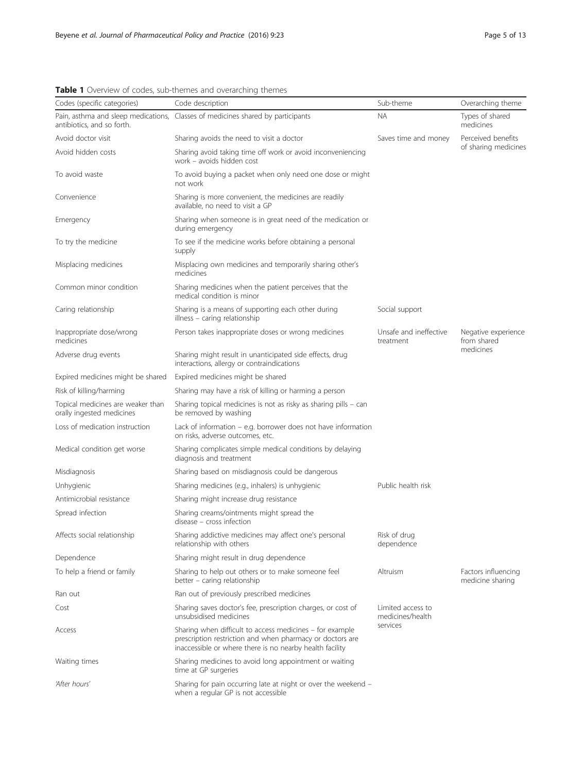| Codes (specific categories)                                    | Code description                                                                                                                                                                  | Sub-theme                             | Overarching theme                       |
|----------------------------------------------------------------|-----------------------------------------------------------------------------------------------------------------------------------------------------------------------------------|---------------------------------------|-----------------------------------------|
| antibiotics, and so forth.                                     | Pain, asthma and sleep medications, Classes of medicines shared by participants                                                                                                   | <b>NA</b>                             | Types of shared<br>medicines            |
| Avoid doctor visit                                             | Sharing avoids the need to visit a doctor                                                                                                                                         | Saves time and money                  | Perceived benefits                      |
| Avoid hidden costs                                             | Sharing avoid taking time off work or avoid inconveniencing<br>work - avoids hidden cost                                                                                          |                                       | of sharing medicines                    |
| To avoid waste                                                 | To avoid buying a packet when only need one dose or might<br>not work                                                                                                             |                                       |                                         |
| Convenience                                                    | Sharing is more convenient, the medicines are readily<br>available, no need to visit a GP                                                                                         |                                       |                                         |
| Emergency                                                      | Sharing when someone is in great need of the medication or<br>during emergency                                                                                                    |                                       |                                         |
| To try the medicine                                            | To see if the medicine works before obtaining a personal<br>supply                                                                                                                |                                       |                                         |
| Misplacing medicines                                           | Misplacing own medicines and temporarily sharing other's<br>medicines                                                                                                             |                                       |                                         |
| Common minor condition                                         | Sharing medicines when the patient perceives that the<br>medical condition is minor                                                                                               |                                       |                                         |
| Caring relationship                                            | Sharing is a means of supporting each other during<br>illness - caring relationship                                                                                               | Social support                        |                                         |
| Inappropriate dose/wrong<br>medicines                          | Person takes inappropriate doses or wrong medicines                                                                                                                               | Unsafe and ineffective<br>treatment   | Negative experience<br>from shared      |
| Adverse drug events                                            | Sharing might result in unanticipated side effects, drug<br>interactions, allergy or contraindications                                                                            |                                       | medicines                               |
| Expired medicines might be shared                              | Expired medicines might be shared                                                                                                                                                 |                                       |                                         |
| Risk of killing/harming                                        | Sharing may have a risk of killing or harming a person                                                                                                                            |                                       |                                         |
| Topical medicines are weaker than<br>orally ingested medicines | Sharing topical medicines is not as risky as sharing pills - can<br>be removed by washing                                                                                         |                                       |                                         |
| Loss of medication instruction                                 | Lack of information $-$ e.g. borrower does not have information<br>on risks, adverse outcomes, etc.                                                                               |                                       |                                         |
| Medical condition get worse                                    | Sharing complicates simple medical conditions by delaying<br>diagnosis and treatment                                                                                              |                                       |                                         |
| Misdiagnosis                                                   | Sharing based on misdiagnosis could be dangerous                                                                                                                                  |                                       |                                         |
| Unhygienic                                                     | Sharing medicines (e.g., inhalers) is unhygienic                                                                                                                                  | Public health risk                    |                                         |
| Antimicrobial resistance                                       | Sharing might increase drug resistance                                                                                                                                            |                                       |                                         |
| Spread infection                                               | Sharing creams/ointments might spread the<br>disease - cross infection                                                                                                            |                                       |                                         |
| Affects social relationship                                    | Sharing addictive medicines may affect one's personal<br>relationship with others                                                                                                 | Risk of drug<br>dependence            |                                         |
| Dependence                                                     | Sharing might result in drug dependence                                                                                                                                           |                                       |                                         |
| To help a friend or family                                     | Sharing to help out others or to make someone feel<br>better - caring relationship                                                                                                | Altruism                              | Factors influencing<br>medicine sharing |
| Ran out                                                        | Ran out of previously prescribed medicines                                                                                                                                        |                                       |                                         |
| Cost                                                           | Sharing saves doctor's fee, prescription charges, or cost of<br>unsubsidised medicines                                                                                            | Limited access to<br>medicines/health |                                         |
| Access                                                         | Sharing when difficult to access medicines - for example<br>prescription restriction and when pharmacy or doctors are<br>inaccessible or where there is no nearby health facility | services                              |                                         |
| Waiting times                                                  | Sharing medicines to avoid long appointment or waiting<br>time at GP surgeries                                                                                                    |                                       |                                         |
| 'After hours'                                                  | Sharing for pain occurring late at night or over the weekend -<br>when a regular GP is not accessible                                                                             |                                       |                                         |

<span id="page-4-0"></span>Table 1 Overview of codes, sub-themes and overarching themes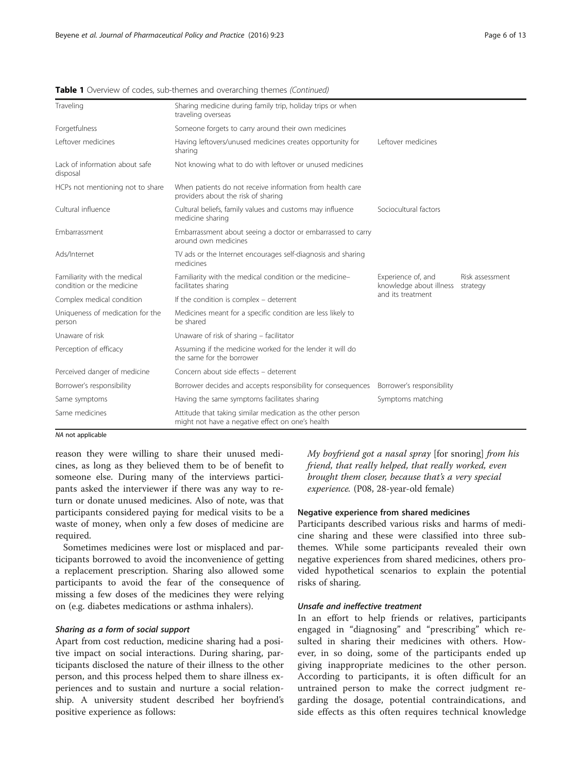| Table 1 Overview of codes, sub-themes and overarching themes (Continued) |  |  |  |
|--------------------------------------------------------------------------|--|--|--|
|                                                                          |  |  |  |

| Traveling                                                 | Sharing medicine during family trip, holiday trips or when<br>traveling overseas                                |                                                                                                   |  |
|-----------------------------------------------------------|-----------------------------------------------------------------------------------------------------------------|---------------------------------------------------------------------------------------------------|--|
| Forgetfulness                                             | Someone forgets to carry around their own medicines                                                             |                                                                                                   |  |
| Leftover medicines                                        | Having leftovers/unused medicines creates opportunity for<br>sharing                                            | Leftover medicines                                                                                |  |
| Lack of information about safe<br>disposal                | Not knowing what to do with leftover or unused medicines                                                        |                                                                                                   |  |
| HCPs not mentioning not to share                          | When patients do not receive information from health care<br>providers about the risk of sharing                |                                                                                                   |  |
| Cultural influence                                        | Cultural beliefs, family values and customs may influence<br>medicine sharing                                   | Sociocultural factors                                                                             |  |
| Embarrassment                                             | Embarrassment about seeing a doctor or embarrassed to carry<br>around own medicines                             |                                                                                                   |  |
| Ads/Internet                                              | TV ads or the Internet encourages self-diagnosis and sharing<br>medicines                                       |                                                                                                   |  |
| Familiarity with the medical<br>condition or the medicine | Familiarity with the medical condition or the medicine-<br>facilitates sharing                                  | Experience of, and<br>Risk assessment<br>knowledge about illness<br>strategy<br>and its treatment |  |
| Complex medical condition                                 | If the condition is complex - deterrent                                                                         |                                                                                                   |  |
| Uniqueness of medication for the<br>person                | Medicines meant for a specific condition are less likely to<br>be shared                                        |                                                                                                   |  |
| Unaware of risk                                           | Unaware of risk of sharing - facilitator                                                                        |                                                                                                   |  |
| Perception of efficacy                                    | Assuming if the medicine worked for the lender it will do<br>the same for the borrower                          |                                                                                                   |  |
| Perceived danger of medicine                              | Concern about side effects - deterrent                                                                          |                                                                                                   |  |
| Borrower's responsibility                                 | Borrower decides and accepts responsibility for consequences                                                    | Borrower's responsibility                                                                         |  |
| Same symptoms                                             | Having the same symptoms facilitates sharing                                                                    | Symptoms matching                                                                                 |  |
| Same medicines                                            | Attitude that taking similar medication as the other person<br>might not have a negative effect on one's health |                                                                                                   |  |

NA not applicable

reason they were willing to share their unused medicines, as long as they believed them to be of benefit to someone else. During many of the interviews participants asked the interviewer if there was any way to return or donate unused medicines. Also of note, was that participants considered paying for medical visits to be a waste of money, when only a few doses of medicine are required.

Sometimes medicines were lost or misplaced and participants borrowed to avoid the inconvenience of getting a replacement prescription. Sharing also allowed some participants to avoid the fear of the consequence of missing a few doses of the medicines they were relying on (e.g. diabetes medications or asthma inhalers).

#### Sharing as a form of social support

Apart from cost reduction, medicine sharing had a positive impact on social interactions. During sharing, participants disclosed the nature of their illness to the other person, and this process helped them to share illness experiences and to sustain and nurture a social relationship. A university student described her boyfriend's positive experience as follows:

My boyfriend got a nasal spray [for snoring] from his friend, that really helped, that really worked, even brought them closer, because that's a very special experience. (P08, 28-year-old female)

#### Negative experience from shared medicines

Participants described various risks and harms of medicine sharing and these were classified into three subthemes. While some participants revealed their own negative experiences from shared medicines, others provided hypothetical scenarios to explain the potential risks of sharing.

#### Unsafe and ineffective treatment

In an effort to help friends or relatives, participants engaged in "diagnosing" and "prescribing" which resulted in sharing their medicines with others. However, in so doing, some of the participants ended up giving inappropriate medicines to the other person. According to participants, it is often difficult for an untrained person to make the correct judgment regarding the dosage, potential contraindications, and side effects as this often requires technical knowledge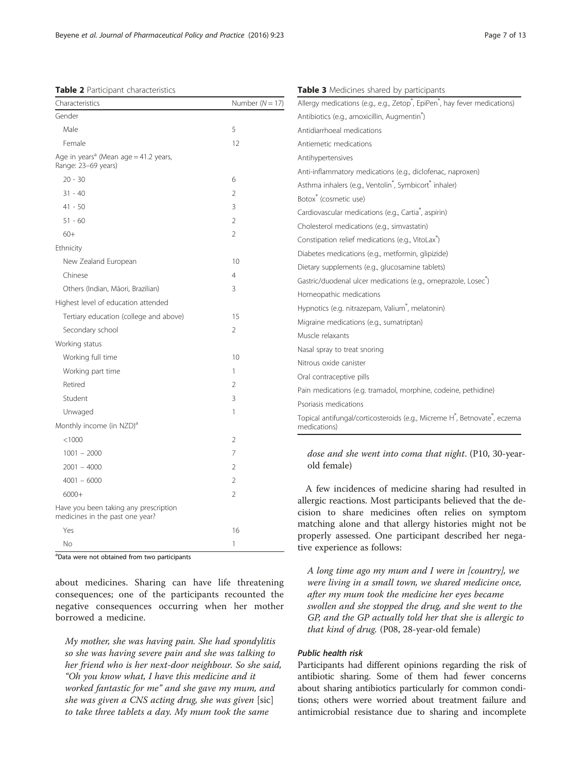<span id="page-6-0"></span>Table 2 Participant characteristics

| Characteristics                                                          | Number ( $N = 17$ ) |  |  |
|--------------------------------------------------------------------------|---------------------|--|--|
| Gender                                                                   |                     |  |  |
| Male                                                                     | 5                   |  |  |
| Female                                                                   | 12                  |  |  |
| Age in years <sup>a</sup> (Mean age = 41.2 years,<br>Range: 23-69 years) |                     |  |  |
| $20 - 30$                                                                | 6                   |  |  |
| $31 - 40$                                                                | $\overline{2}$      |  |  |
| $41 - 50$                                                                | 3                   |  |  |
| $51 - 60$                                                                | $\overline{2}$      |  |  |
| $60+$                                                                    | $\overline{2}$      |  |  |
| Ethnicity                                                                |                     |  |  |
| New Zealand European                                                     | 10                  |  |  |
| Chinese                                                                  | $\overline{4}$      |  |  |
| Others (Indian, Māori, Brazilian)                                        | 3                   |  |  |
| Highest level of education attended                                      |                     |  |  |
| Tertiary education (college and above)                                   | 15                  |  |  |
| Secondary school                                                         | 2                   |  |  |
| Working status                                                           |                     |  |  |
| Working full time                                                        | 10                  |  |  |
| Working part time                                                        | 1                   |  |  |
| Retired                                                                  | $\mathcal{P}$       |  |  |
| Student                                                                  | 3                   |  |  |
| Unwaged                                                                  | 1                   |  |  |
| Monthly income (in NZD) <sup>a</sup>                                     |                     |  |  |
| < 1000                                                                   | $\overline{2}$      |  |  |
| $1001 - 2000$                                                            | 7                   |  |  |
| $2001 - 4000$                                                            | 2                   |  |  |
| $4001 - 6000$                                                            | $\overline{2}$      |  |  |
| $6000+$                                                                  | $\overline{2}$      |  |  |
| Have you been taking any prescription<br>medicines in the past one year? |                     |  |  |
| Yes                                                                      | 16                  |  |  |
| No                                                                       | 1                   |  |  |

<sup>a</sup>Data were not obtained from two participants

about medicines. Sharing can have life threatening consequences; one of the participants recounted the negative consequences occurring when her mother borrowed a medicine.

My mother, she was having pain. She had spondylitis so she was having severe pain and she was talking to her friend who is her next-door neighbour. So she said, "Oh you know what, I have this medicine and it worked fantastic for me" and she gave my mum, and she was given a CNS acting drug, she was given [sic] to take three tablets a day. My mum took the same

| Allergy medications (e.g., e.g., Zetop®, EpiPen®, hay fever medications)                 |
|------------------------------------------------------------------------------------------|
| Antibiotics (e.g., amoxicillin, Augmentin)                                               |
| Antidiarrhoeal medications                                                               |
| Antiemetic medications                                                                   |
| Antihypertensives                                                                        |
| Anti-inflammatory medications (e.g., diclofenac, naproxen)                               |
| Asthma inhalers (e.g., Ventolin <sup>®</sup> , Symbicort <sup>®</sup> inhaler)           |
| Botox <sup>®</sup> (cosmetic use)                                                        |
| Cardiovascular medications (e.g., Cartia <sup>®</sup> , aspirin)                         |
| Cholesterol medications (e.g., simvastatin)                                              |
| Constipation relief medications (e.g., VitoLax <sup>®</sup> )                            |
| Diabetes medications (e.g., metformin, glipizide)                                        |
| Dietary supplements (e.g., glucosamine tablets)                                          |
| Gastric/duodenal ulcer medications (e.g., omeprazole, Losec)                             |
| Homeopathic medications                                                                  |
| Hypnotics (e.g. nitrazepam, Valium®, melatonin)                                          |
| Migraine medications (e.g., sumatriptan)                                                 |
| Muscle relaxants                                                                         |
| Nasal spray to treat snoring                                                             |
| Nitrous oxide canister                                                                   |
| Oral contraceptive pills                                                                 |
| Pain medications (e.g. tramadol, morphine, codeine, pethidine)                           |
| Psoriasis medications                                                                    |
| Topical antifungal/corticosteroids (e.g., Micreme H®, Betnovate®, eczema<br>medications) |

dose and she went into coma that night. (P10, 30-yearold female)

A few incidences of medicine sharing had resulted in allergic reactions. Most participants believed that the decision to share medicines often relies on symptom matching alone and that allergy histories might not be properly assessed. One participant described her negative experience as follows:

A long time ago my mum and I were in [country], we were living in a small town, we shared medicine once, after my mum took the medicine her eyes became swollen and she stopped the drug, and she went to the GP, and the GP actually told her that she is allergic to that kind of drug. (P08, 28-year-old female)

#### Public health risk

Participants had different opinions regarding the risk of antibiotic sharing. Some of them had fewer concerns about sharing antibiotics particularly for common conditions; others were worried about treatment failure and antimicrobial resistance due to sharing and incomplete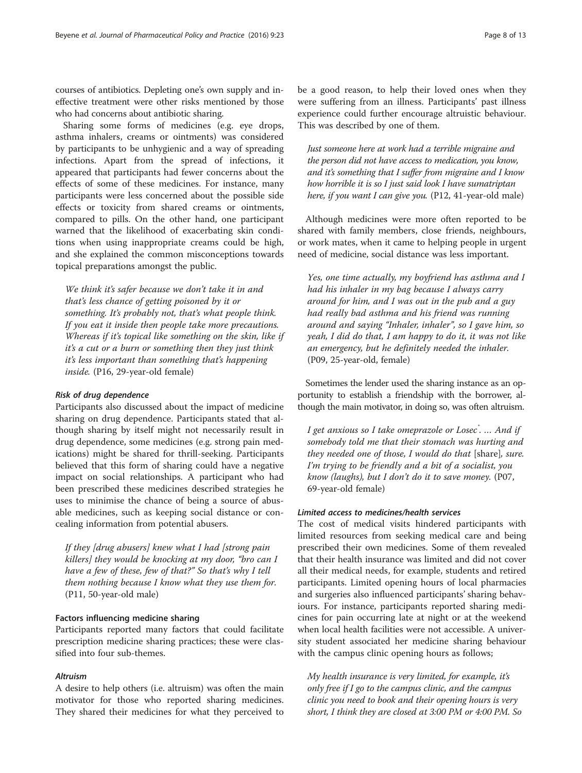courses of antibiotics. Depleting one's own supply and ineffective treatment were other risks mentioned by those who had concerns about antibiotic sharing.

Sharing some forms of medicines (e.g. eye drops, asthma inhalers, creams or ointments) was considered by participants to be unhygienic and a way of spreading infections. Apart from the spread of infections, it appeared that participants had fewer concerns about the effects of some of these medicines. For instance, many participants were less concerned about the possible side effects or toxicity from shared creams or ointments, compared to pills. On the other hand, one participant warned that the likelihood of exacerbating skin conditions when using inappropriate creams could be high, and she explained the common misconceptions towards topical preparations amongst the public.

We think it's safer because we don't take it in and that's less chance of getting poisoned by it or something. It's probably not, that's what people think. If you eat it inside then people take more precautions. Whereas if it's topical like something on the skin, like if it's a cut or a burn or something then they just think it's less important than something that's happening inside. (P16, 29-year-old female)

#### Risk of drug dependence

Participants also discussed about the impact of medicine sharing on drug dependence. Participants stated that although sharing by itself might not necessarily result in drug dependence, some medicines (e.g. strong pain medications) might be shared for thrill-seeking. Participants believed that this form of sharing could have a negative impact on social relationships. A participant who had been prescribed these medicines described strategies he uses to minimise the chance of being a source of abusable medicines, such as keeping social distance or concealing information from potential abusers.

If they [drug abusers] knew what I had [strong pain killers] they would be knocking at my door, "bro can I have a few of these, few of that?" So that's why I tell them nothing because I know what they use them for. (P11, 50-year-old male)

#### Factors influencing medicine sharing

Participants reported many factors that could facilitate prescription medicine sharing practices; these were classified into four sub-themes.

#### Altruism

A desire to help others (i.e. altruism) was often the main motivator for those who reported sharing medicines. They shared their medicines for what they perceived to be a good reason, to help their loved ones when they were suffering from an illness. Participants' past illness experience could further encourage altruistic behaviour. This was described by one of them.

Just someone here at work had a terrible migraine and the person did not have access to medication, you know, and it's something that I suffer from migraine and I know how horrible it is so I just said look I have sumatriptan here, if you want I can give you. (P12, 41-year-old male)

Although medicines were more often reported to be shared with family members, close friends, neighbours, or work mates, when it came to helping people in urgent need of medicine, social distance was less important.

Yes, one time actually, my boyfriend has asthma and I had his inhaler in my bag because I always carry around for him, and I was out in the pub and a guy had really bad asthma and his friend was running around and saying "Inhaler, inhaler", so I gave him, so yeah, I did do that, I am happy to do it, it was not like an emergency, but he definitely needed the inhaler. (P09, 25-year-old, female)

Sometimes the lender used the sharing instance as an opportunity to establish a friendship with the borrower, although the main motivator, in doing so, was often altruism.

I get anxious so I take omeprazole or Losec<sup>\*</sup>. ... And ij somebody told me that their stomach was hurting and they needed one of those, I would do that [share], sure. I'm trying to be friendly and a bit of a socialist, you know (laughs), but I don't do it to save money. (P07, 69-year-old female)

#### Limited access to medicines/health services

The cost of medical visits hindered participants with limited resources from seeking medical care and being prescribed their own medicines. Some of them revealed that their health insurance was limited and did not cover all their medical needs, for example, students and retired participants. Limited opening hours of local pharmacies and surgeries also influenced participants' sharing behaviours. For instance, participants reported sharing medicines for pain occurring late at night or at the weekend when local health facilities were not accessible. A university student associated her medicine sharing behaviour with the campus clinic opening hours as follows;

My health insurance is very limited, for example, it's only free if I go to the campus clinic, and the campus clinic you need to book and their opening hours is very short, I think they are closed at 3:00 PM or 4:00 PM. So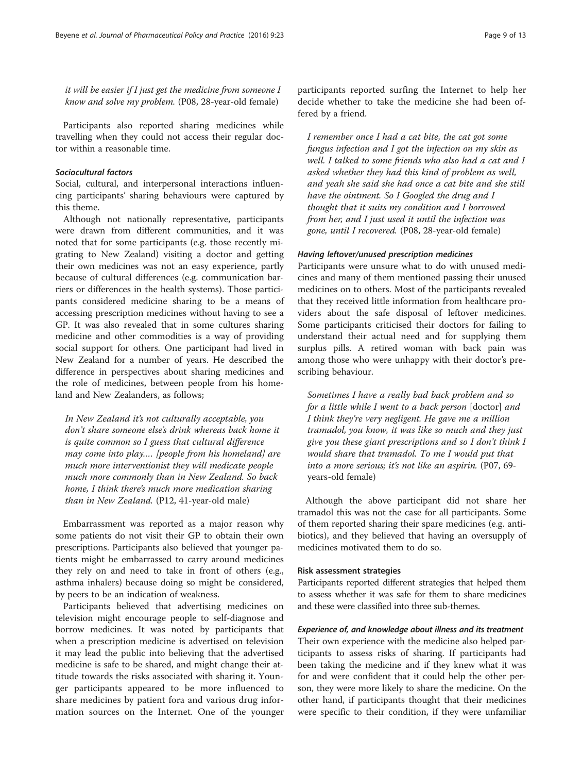it will be easier if I just get the medicine from someone I know and solve my problem. (P08, 28-year-old female)

Participants also reported sharing medicines while travelling when they could not access their regular doctor within a reasonable time.

#### Sociocultural factors

Social, cultural, and interpersonal interactions influencing participants' sharing behaviours were captured by this theme.

Although not nationally representative, participants were drawn from different communities, and it was noted that for some participants (e.g. those recently migrating to New Zealand) visiting a doctor and getting their own medicines was not an easy experience, partly because of cultural differences (e.g. communication barriers or differences in the health systems). Those participants considered medicine sharing to be a means of accessing prescription medicines without having to see a GP. It was also revealed that in some cultures sharing medicine and other commodities is a way of providing social support for others. One participant had lived in New Zealand for a number of years. He described the difference in perspectives about sharing medicines and the role of medicines, between people from his homeland and New Zealanders, as follows;

In New Zealand it's not culturally acceptable, you don't share someone else's drink whereas back home it is quite common so I guess that cultural difference may come into play.… [people from his homeland] are much more interventionist they will medicate people much more commonly than in New Zealand. So back home, I think there's much more medication sharing than in New Zealand. (P12, 41-year-old male)

Embarrassment was reported as a major reason why some patients do not visit their GP to obtain their own prescriptions. Participants also believed that younger patients might be embarrassed to carry around medicines they rely on and need to take in front of others (e.g., asthma inhalers) because doing so might be considered, by peers to be an indication of weakness.

Participants believed that advertising medicines on television might encourage people to self-diagnose and borrow medicines. It was noted by participants that when a prescription medicine is advertised on television it may lead the public into believing that the advertised medicine is safe to be shared, and might change their attitude towards the risks associated with sharing it. Younger participants appeared to be more influenced to share medicines by patient fora and various drug information sources on the Internet. One of the younger

participants reported surfing the Internet to help her decide whether to take the medicine she had been offered by a friend.

I remember once I had a cat bite, the cat got some fungus infection and I got the infection on my skin as well. I talked to some friends who also had a cat and I asked whether they had this kind of problem as well, and yeah she said she had once a cat bite and she still have the ointment. So I Googled the drug and I thought that it suits my condition and I borrowed from her, and I just used it until the infection was gone, until I recovered. (P08, 28-year-old female)

#### Having leftover/unused prescription medicines

Participants were unsure what to do with unused medicines and many of them mentioned passing their unused medicines on to others. Most of the participants revealed that they received little information from healthcare providers about the safe disposal of leftover medicines. Some participants criticised their doctors for failing to understand their actual need and for supplying them surplus pills. A retired woman with back pain was among those who were unhappy with their doctor's prescribing behaviour.

Sometimes I have a really bad back problem and so for a little while I went to a back person [doctor] and I think they're very negligent. He gave me a million tramadol, you know, it was like so much and they just give you these giant prescriptions and so I don't think I would share that tramadol. To me I would put that into a more serious; it's not like an aspirin. (P07, 69 years-old female)

Although the above participant did not share her tramadol this was not the case for all participants. Some of them reported sharing their spare medicines (e.g. antibiotics), and they believed that having an oversupply of medicines motivated them to do so.

#### Risk assessment strategies

Participants reported different strategies that helped them to assess whether it was safe for them to share medicines and these were classified into three sub-themes.

Experience of, and knowledge about illness and its treatment Their own experience with the medicine also helped participants to assess risks of sharing. If participants had been taking the medicine and if they knew what it was for and were confident that it could help the other person, they were more likely to share the medicine. On the other hand, if participants thought that their medicines were specific to their condition, if they were unfamiliar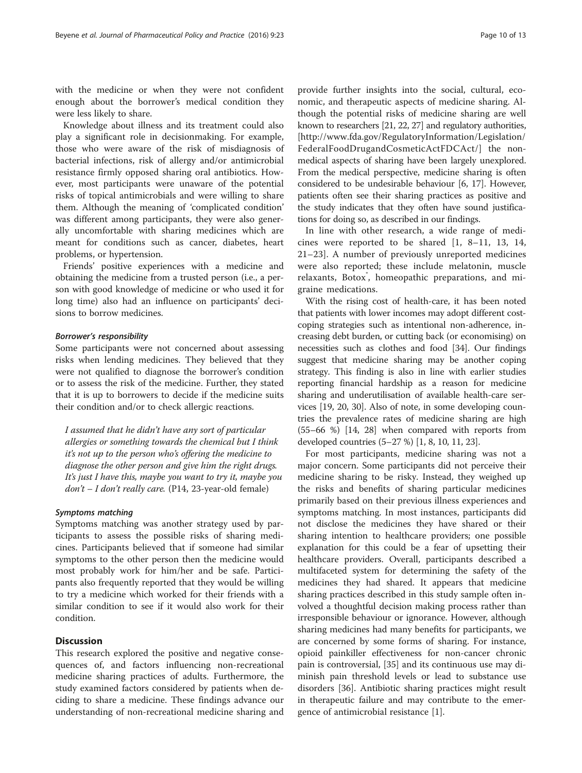with the medicine or when they were not confident enough about the borrower's medical condition they were less likely to share.

Knowledge about illness and its treatment could also play a significant role in decisionmaking. For example, those who were aware of the risk of misdiagnosis of bacterial infections, risk of allergy and/or antimicrobial resistance firmly opposed sharing oral antibiotics. However, most participants were unaware of the potential risks of topical antimicrobials and were willing to share them. Although the meaning of 'complicated condition' was different among participants, they were also generally uncomfortable with sharing medicines which are meant for conditions such as cancer, diabetes, heart problems, or hypertension.

Friends' positive experiences with a medicine and obtaining the medicine from a trusted person (i.e., a person with good knowledge of medicine or who used it for long time) also had an influence on participants' decisions to borrow medicines.

#### Borrower's responsibility

Some participants were not concerned about assessing risks when lending medicines. They believed that they were not qualified to diagnose the borrower's condition or to assess the risk of the medicine. Further, they stated that it is up to borrowers to decide if the medicine suits their condition and/or to check allergic reactions.

I assumed that he didn't have any sort of particular allergies or something towards the chemical but I think it's not up to the person who's offering the medicine to diagnose the other person and give him the right drugs. It's just I have this, maybe you want to try it, maybe you  $don't - I don't really care.$  (P14, 23-year-old female)

#### Symptoms matching

Symptoms matching was another strategy used by participants to assess the possible risks of sharing medicines. Participants believed that if someone had similar symptoms to the other person then the medicine would most probably work for him/her and be safe. Participants also frequently reported that they would be willing to try a medicine which worked for their friends with a similar condition to see if it would also work for their condition.

#### **Discussion**

This research explored the positive and negative consequences of, and factors influencing non-recreational medicine sharing practices of adults. Furthermore, the study examined factors considered by patients when deciding to share a medicine. These findings advance our understanding of non-recreational medicine sharing and

provide further insights into the social, cultural, economic, and therapeutic aspects of medicine sharing. Although the potential risks of medicine sharing are well known to researchers [[21, 22, 27\]](#page-12-0) and regulatory authorities, [[http://www.fda.gov/RegulatoryInformation/Legislation/](http://www.fda.gov/RegulatoryInformation/Legislation/FederalFoodDrugandCosmeticActFDCAct/) [FederalFoodDrugandCosmeticActFDCAct/\]](http://www.fda.gov/RegulatoryInformation/Legislation/FederalFoodDrugandCosmeticActFDCAct/) the nonmedical aspects of sharing have been largely unexplored. From the medical perspective, medicine sharing is often considered to be undesirable behaviour [\[6](#page-11-0), [17](#page-11-0)]. However, patients often see their sharing practices as positive and the study indicates that they often have sound justifications for doing so, as described in our findings.

In line with other research, a wide range of medicines were reported to be shared [[1, 8](#page-11-0)–[11, 13](#page-11-0), [14](#page-11-0), [21](#page-12-0)–[23\]](#page-12-0). A number of previously unreported medicines were also reported; these include melatonin, muscle relaxants, Botox<sup>®</sup>, homeopathic preparations, and migraine medications.

With the rising cost of health-care, it has been noted that patients with lower incomes may adopt different costcoping strategies such as intentional non-adherence, increasing debt burden, or cutting back (or economising) on necessities such as clothes and food [[34](#page-12-0)]. Our findings suggest that medicine sharing may be another coping strategy. This finding is also in line with earlier studies reporting financial hardship as a reason for medicine sharing and underutilisation of available health-care services [\[19, 20, 30\]](#page-12-0). Also of note, in some developing countries the prevalence rates of medicine sharing are high (55–66 %) [\[14,](#page-11-0) [28\]](#page-12-0) when compared with reports from developed countries (5–27 %) [[1, 8](#page-11-0), [10, 11,](#page-11-0) [23](#page-12-0)].

For most participants, medicine sharing was not a major concern. Some participants did not perceive their medicine sharing to be risky. Instead, they weighed up the risks and benefits of sharing particular medicines primarily based on their previous illness experiences and symptoms matching. In most instances, participants did not disclose the medicines they have shared or their sharing intention to healthcare providers; one possible explanation for this could be a fear of upsetting their healthcare providers. Overall, participants described a multifaceted system for determining the safety of the medicines they had shared. It appears that medicine sharing practices described in this study sample often involved a thoughtful decision making process rather than irresponsible behaviour or ignorance. However, although sharing medicines had many benefits for participants, we are concerned by some forms of sharing. For instance, opioid painkiller effectiveness for non-cancer chronic pain is controversial, [[35](#page-12-0)] and its continuous use may diminish pain threshold levels or lead to substance use disorders [\[36](#page-12-0)]. Antibiotic sharing practices might result in therapeutic failure and may contribute to the emergence of antimicrobial resistance [\[1\]](#page-11-0).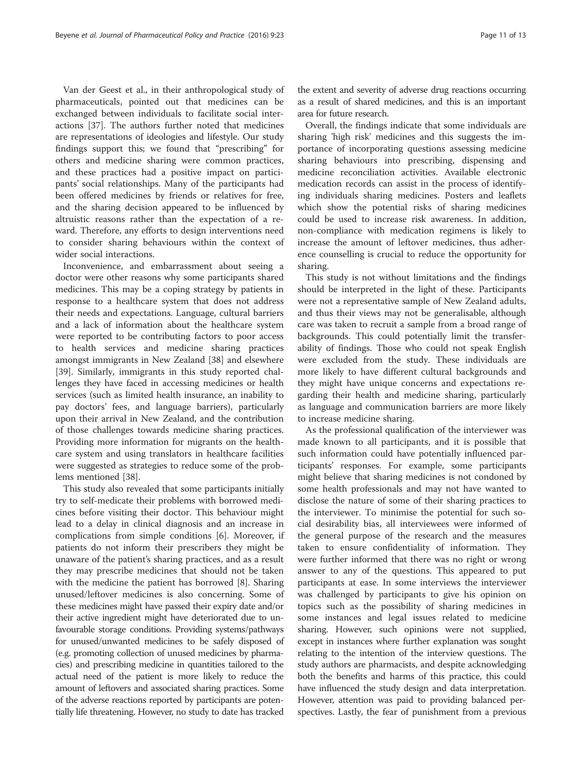Van der Geest et al., in their anthropological study of pharmaceuticals, pointed out that medicines can be exchanged between individuals to facilitate social interactions [\[37\]](#page-12-0). The authors further noted that medicines are representations of ideologies and lifestyle. Our study findings support this; we found that "prescribing" for others and medicine sharing were common practices, and these practices had a positive impact on participants' social relationships. Many of the participants had been offered medicines by friends or relatives for free, and the sharing decision appeared to be influenced by altruistic reasons rather than the expectation of a reward. Therefore, any efforts to design interventions need to consider sharing behaviours within the context of wider social interactions.

Inconvenience, and embarrassment about seeing a doctor were other reasons why some participants shared medicines. This may be a coping strategy by patients in response to a healthcare system that does not address their needs and expectations. Language, cultural barriers and a lack of information about the healthcare system were reported to be contributing factors to poor access to health services and medicine sharing practices amongst immigrants in New Zealand [\[38](#page-12-0)] and elsewhere [[39\]](#page-12-0). Similarly, immigrants in this study reported challenges they have faced in accessing medicines or health services (such as limited health insurance, an inability to pay doctors' fees, and language barriers), particularly upon their arrival in New Zealand, and the contribution of those challenges towards medicine sharing practices. Providing more information for migrants on the healthcare system and using translators in healthcare facilities were suggested as strategies to reduce some of the problems mentioned [[38](#page-12-0)].

This study also revealed that some participants initially try to self-medicate their problems with borrowed medicines before visiting their doctor. This behaviour might lead to a delay in clinical diagnosis and an increase in complications from simple conditions [\[6](#page-11-0)]. Moreover, if patients do not inform their prescribers they might be unaware of the patient's sharing practices, and as a result they may prescribe medicines that should not be taken with the medicine the patient has borrowed [[8\]](#page-11-0). Sharing unused/leftover medicines is also concerning. Some of these medicines might have passed their expiry date and/or their active ingredient might have deteriorated due to unfavourable storage conditions. Providing systems/pathways for unused/unwanted medicines to be safely disposed of (e.g. promoting collection of unused medicines by pharmacies) and prescribing medicine in quantities tailored to the actual need of the patient is more likely to reduce the amount of leftovers and associated sharing practices. Some of the adverse reactions reported by participants are potentially life threatening. However, no study to date has tracked

the extent and severity of adverse drug reactions occurring as a result of shared medicines, and this is an important area for future research.

Overall, the findings indicate that some individuals are sharing 'high risk' medicines and this suggests the importance of incorporating questions assessing medicine sharing behaviours into prescribing, dispensing and medicine reconciliation activities. Available electronic medication records can assist in the process of identifying individuals sharing medicines. Posters and leaflets which show the potential risks of sharing medicines could be used to increase risk awareness. In addition, non-compliance with medication regimens is likely to increase the amount of leftover medicines, thus adherence counselling is crucial to reduce the opportunity for sharing.

This study is not without limitations and the findings should be interpreted in the light of these. Participants were not a representative sample of New Zealand adults, and thus their views may not be generalisable, although care was taken to recruit a sample from a broad range of backgrounds. This could potentially limit the transferability of findings. Those who could not speak English were excluded from the study. These individuals are more likely to have different cultural backgrounds and they might have unique concerns and expectations regarding their health and medicine sharing, particularly as language and communication barriers are more likely to increase medicine sharing.

As the professional qualification of the interviewer was made known to all participants, and it is possible that such information could have potentially influenced participants' responses. For example, some participants might believe that sharing medicines is not condoned by some health professionals and may not have wanted to disclose the nature of some of their sharing practices to the interviewer. To minimise the potential for such social desirability bias, all interviewees were informed of the general purpose of the research and the measures taken to ensure confidentiality of information. They were further informed that there was no right or wrong answer to any of the questions. This appeared to put participants at ease. In some interviews the interviewer was challenged by participants to give his opinion on topics such as the possibility of sharing medicines in some instances and legal issues related to medicine sharing. However, such opinions were not supplied, except in instances where further explanation was sought relating to the intention of the interview questions. The study authors are pharmacists, and despite acknowledging both the benefits and harms of this practice, this could have influenced the study design and data interpretation. However, attention was paid to providing balanced perspectives. Lastly, the fear of punishment from a previous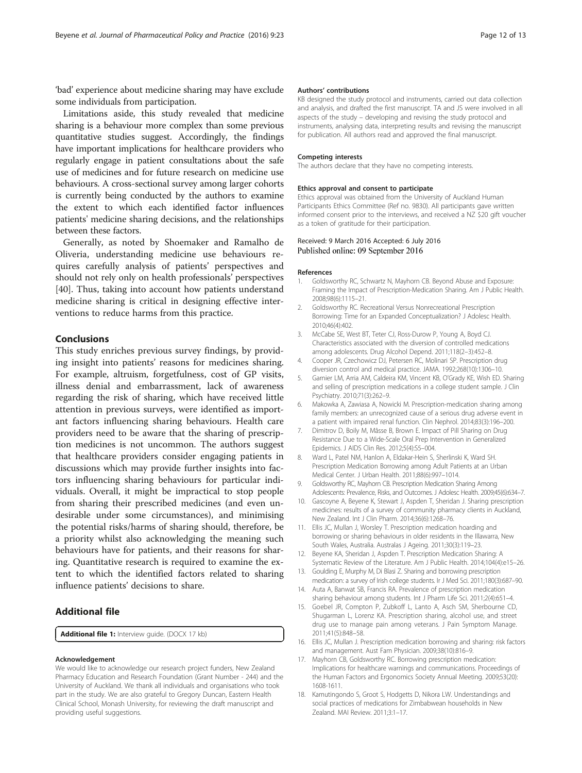<span id="page-11-0"></span>'bad' experience about medicine sharing may have exclude some individuals from participation.

Limitations aside, this study revealed that medicine sharing is a behaviour more complex than some previous quantitative studies suggest. Accordingly, the findings have important implications for healthcare providers who regularly engage in patient consultations about the safe use of medicines and for future research on medicine use behaviours. A cross-sectional survey among larger cohorts is currently being conducted by the authors to examine the extent to which each identified factor influences patients' medicine sharing decisions, and the relationships between these factors.

Generally, as noted by Shoemaker and Ramalho de Oliveria, understanding medicine use behaviours requires carefully analysis of patients' perspectives and should not rely only on health professionals' perspectives [[40\]](#page-12-0). Thus, taking into account how patients understand medicine sharing is critical in designing effective interventions to reduce harms from this practice.

#### Conclusions

This study enriches previous survey findings, by providing insight into patients' reasons for medicines sharing. For example, altruism, forgetfulness, cost of GP visits, illness denial and embarrassment, lack of awareness regarding the risk of sharing, which have received little attention in previous surveys, were identified as important factors influencing sharing behaviours. Health care providers need to be aware that the sharing of prescription medicines is not uncommon. The authors suggest that healthcare providers consider engaging patients in discussions which may provide further insights into factors influencing sharing behaviours for particular individuals. Overall, it might be impractical to stop people from sharing their prescribed medicines (and even undesirable under some circumstances), and minimising the potential risks/harms of sharing should, therefore, be a priority whilst also acknowledging the meaning such behaviours have for patients, and their reasons for sharing. Quantitative research is required to examine the extent to which the identified factors related to sharing influence patients' decisions to share.

#### Additional file

[Additional file 1:](dx.doi.org/10.1186/s40545-016-0075-5) Interview guide. (DOCX 17 kb)

#### Acknowledgement

We would like to acknowledge our research project funders, New Zealand Pharmacy Education and Research Foundation (Grant Number - 244) and the University of Auckland. We thank all individuals and organisations who took part in the study. We are also grateful to Gregory Duncan, Eastern Health Clinical School, Monash University, for reviewing the draft manuscript and providing useful suggestions.

#### Authors' contributions

KB designed the study protocol and instruments, carried out data collection and analysis, and drafted the first manuscript. TA and JS were involved in all aspects of the study – developing and revising the study protocol and instruments, analysing data, interpreting results and revising the manuscript for publication. All authors read and approved the final manuscript.

#### Competing interests

The authors declare that they have no competing interests.

#### Ethics approval and consent to participate

Ethics approval was obtained from the University of Auckland Human Participants Ethics Committee (Ref no. 9830). All participants gave written informed consent prior to the interviews, and received a NZ \$20 gift voucher as a token of gratitude for their participation.

# Received: 9 March 2016 Accepted: 6 July 2016<br>Published online: 09 September 2016

#### References

- 1. Goldsworthy RC, Schwartz N, Mayhorn CB. Beyond Abuse and Exposure: Framing the Impact of Prescription-Medication Sharing. Am J Public Health. 2008;98(6):1115–21.
- 2. Goldsworthy RC. Recreational Versus Nonrecreational Prescription Borrowing: Time for an Expanded Conceptualization? J Adolesc Health. 2010;46(4):402.
- 3. McCabe SE, West BT, Teter CJ, Ross-Durow P, Young A, Boyd CJ. Characteristics associated with the diversion of controlled medications among adolescents. Drug Alcohol Depend. 2011;118(2–3):452–8.
- 4. Cooper JR, Czechowicz DJ, Petersen RC, Molinari SP. Prescription drug diversion control and medical practice. JAMA. 1992;268(10):1306–10.
- 5. Garnier LM, Arria AM, Caldeira KM, Vincent KB, O'Grady KE, Wish ED. Sharing and selling of prescription medications in a college student sample. J Clin Psychiatry. 2010;71(3):262–9.
- 6. Makowka A, Zawiasa A, Nowicki M. Prescription-medication sharing among family members: an unrecognized cause of a serious drug adverse event in a patient with impaired renal function. Clin Nephrol. 2014;83(3):196–200.
- 7. Dimitrov D, Boily M, Mâsse B, Brown E. Impact of Pill Sharing on Drug Resistance Due to a Wide-Scale Oral Prep Intervention in Generalized Epidemics. J AIDS Clin Res. 2012;5(4):S5–004.
- 8. Ward L, Patel NM, Hanlon A, Eldakar-Hein S, Sherlinski K, Ward SH. Prescription Medication Borrowing among Adult Patients at an Urban Medical Center. J Urban Health. 2011;88(6):997–1014.
- 9. Goldsworthy RC, Mayhorn CB. Prescription Medication Sharing Among Adolescents: Prevalence, Risks, and Outcomes. J Adolesc Health. 2009;45(6):634–7.
- 10. Gascoyne A, Beyene K, Stewart J, Aspden T, Sheridan J. Sharing prescription medicines: results of a survey of community pharmacy clients in Auckland, New Zealand. Int J Clin Pharm. 2014;36(6):1268–76.
- 11. Ellis JC, Mullan J, Worsley T. Prescription medication hoarding and borrowing or sharing behaviours in older residents in the Illawarra, New South Wales, Australia. Australas J Ageing. 2011;30(3):119–23.
- 12. Beyene KA, Sheridan J, Aspden T. Prescription Medication Sharing: A Systematic Review of the Literature. Am J Public Health. 2014;104(4):e15–26.
- 13. Goulding E, Murphy M, Di Blasi Z. Sharing and borrowing prescription medication: a survey of Irish college students. Ir J Med Sci. 2011;180(3):687–90.
- 14. Auta A, Banwat SB, Francis RA. Prevalence of prescription medication sharing behaviour among students. Int J Pharm Life Sci. 2011;2(4):651–4.
- 15. Goebel JR, Compton P, Zubkoff L, Lanto A, Asch SM, Sherbourne CD, Shugarman L, Lorenz KA. Prescription sharing, alcohol use, and street drug use to manage pain among veterans. J Pain Symptom Manage. 2011;41(5):848–58.
- 16. Ellis JC, Mullan J. Prescription medication borrowing and sharing: risk factors and management. Aust Fam Physician. 2009;38(10):816–9.
- 17. Mayhorn CB, Goldsworthy RC. Borrowing prescription medication: Implications for healthcare warnings and communications. Proceedings of the Human Factors and Ergonomics Society Annual Meeting. 2009;53(20): 1608-1611.
- 18. Kamutingondo S, Groot S, Hodgetts D, Nikora LW. Understandings and social practices of medications for Zimbabwean households in New Zealand. MAI Review. 2011;3:1–17.